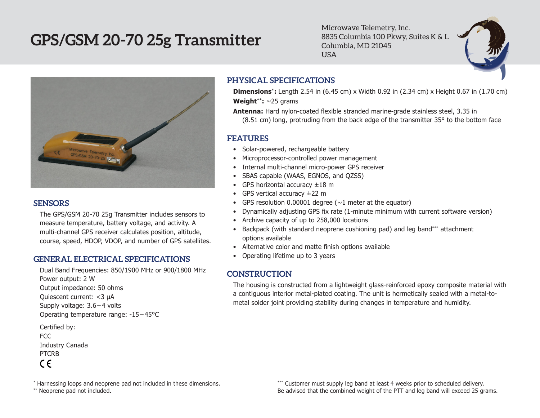# **GPS/GSM 20-70 25g Transmitter**

Microwave Telemetry, Inc. 8835 Columbia 100 Pkwy, Suites K & L Columbia, MD 21045 USA



#### **SENSORS**

The GPS/GSM 20-70 25g Transmitter includes sensors to measure temperature, battery voltage, and activity. A multi-channel GPS receiver calculates position, altitude, course, speed, HDOP, VDOP, and number of GPS satellites.

### **GENERAL ELECTRICAL SPECIFICATIONS**

Dual Band Frequencies: 850/1900 MHz or 900/1800 MHz Power output: 2 W Output impedance: 50 ohms Quiescent current: <3 µA Supply voltage: 3.6 – 4 volts Operating temperature range: -15 – 45°C Certified by: FCC

```
Industry Canada
PTCRB
```
 $\epsilon$ 

**PHYSICAL SPECIFICATIONS**

**Dimensions\*:** Length 2.54 in (6.45 cm) x Width 0.92 in (2.34 cm) x Height 0.67 in (1.70 cm) **Weight\*\*:** ~25 grams

**Antenna:** Hard nylon-coated flexible stranded marine-grade stainless steel, 3.35 in (8.51 cm) long, protruding from the back edge of the transmitter 35° to the bottom face

#### **FEATURES**

- Solar-powered, rechargeable battery
- Microprocessor-controlled power management
- • Internal multi-channel micro-power GPS receiver
- • SBAS capable (WAAS, EGNOS, and QZSS)
- GPS horizontal accuracy  $\pm 18$  m
- GPS vertical accuracy  $\pm 22$  m
- GPS resolution 0.00001 degree  $(\sim 1$  meter at the equator)
- Dynamically adjusting GPS fix rate (1-minute minimum with current software version)
- Archive capacity of up to 258,000 locations
- Backpack (with standard neoprene cushioning pad) and leg band\*\*\* attachment options available
- Alternative color and matte finish options available
- Operating lifetime up to 3 years

## **CONSTRUCTION**

The housing is constructed from a lightweight glass-reinforced epoxy composite material with a contiguous interior metal-plated coating. The unit is hermetically sealed with a metal-tometal solder joint providing stability during changes in temperature and humidity.

\*\* Neoprene pad not included.

\*\*\* Customer must supply leg band at least 4 weeks prior to scheduled delivery. Be advised that the combined weight of the PTT and leg band will exceed 25 grams.

<sup>\*</sup> Harnessing loops and neoprene pad not included in these dimensions.